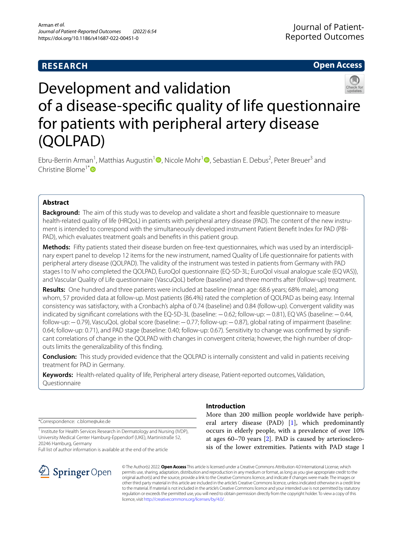# **RESEARCH**

# **Open Access**



# Development and validation of a disease-specifc quality of life questionnaire for patients with peripheral artery disease (QOLPAD)

Ebru-Berrin Arman<sup>[1](http://orcid.org/0000-0003-0628-9717)</sup>, Matthias Augustin<sup>1</sup><sup>®</sup>, Nicole Mohr<sup>1</sup><sup>®</sup>, Sebastian E. Debus<sup>2</sup>, Peter Breuer<sup>3</sup> and Christine Blome<sup>1\*</sup>

## **Abstract**

**Background:** The aim of this study was to develop and validate a short and feasible questionnaire to measure health-related quality of life (HRQoL) in patients with peripheral artery disease (PAD). The content of the new instrument is intended to correspond with the simultaneously developed instrument Patient Beneft Index for PAD (PBI-PAD), which evaluates treatment goals and benefts in this patient group.

Methods: Fifty patients stated their disease burden on free-text questionnaires, which was used by an interdisciplinary expert panel to develop 12 items for the new instrument, named Quality of Life questionnaire for patients with peripheral artery disease (QOLPAD). The validity of the instrument was tested in patients from Germany with PAD stages I to IV who completed the QOLPAD, EuroQol questionnaire (EQ-5D-3L; EuroQol visual analogue scale (EQ VAS)), and Vascular Quality of Life questionnaire (VascuQoL) before (baseline) and three months after (follow-up) treatment.

**Results:** One hundred and three patients were included at baseline (mean age: 68.6 years; 68% male), among whom, 57 provided data at follow-up. Most patients (86.4%) rated the completion of QOLPAD as being easy. Internal consistency was satisfactory, with a Cronbach's alpha of 0.74 (baseline) and 0.84 (follow-up). Convergent validity was indicated by signifcant correlations with the EQ-5D-3L (baseline: −0.62; follow-up:−0.81), EQ VAS (baseline:−0.44, follow-up:−0.79), VascuQoL global score (baseline:−0.77; follow-up:−0.87), global rating of impairment (baseline: 0.64; follow-up: 0.71), and PAD stage (baseline: 0.40; follow-up: 0.67). Sensitivity to change was confirmed by significant correlations of change in the QOLPAD with changes in convergent criteria; however, the high number of dropouts limits the generalizability of this fnding.

**Conclusion:** This study provided evidence that the QOLPAD is internally consistent and valid in patients receiving treatment for PAD in Germany.

**Keywords:** Health-related quality of life, Peripheral artery disease, Patient-reported outcomes, Validation, Questionnaire

\*Correspondence: c.blome@uke.de

<sup>1</sup> Institute for Health Services Research in Dermatology and Nursing (IVDP), University Medical Center Hamburg-Eppendorf (UKE), Martinistraße 52, 20246 Hamburg, Germany

Full list of author information is available at the end of the article



## **Introduction**

More than 200 million people worldwide have peripheral artery disease (PAD) [[1](#page-10-0)], which predominantly occurs in elderly people, with a prevalence of over 10% at ages 60–70 years [[2\]](#page-10-1). PAD is caused by arteriosclerosis of the lower extremities. Patients with PAD stage I

© The Author(s) 2022. **Open Access** This article is licensed under a Creative Commons Attribution 4.0 International License, which permits use, sharing, adaptation, distribution and reproduction in any medium or format, as long as you give appropriate credit to the original author(s) and the source, provide a link to the Creative Commons licence, and indicate if changes were made. The images or other third party material in this article are included in the article's Creative Commons licence, unless indicated otherwise in a credit line to the material. If material is not included in the article's Creative Commons licence and your intended use is not permitted by statutory regulation or exceeds the permitted use, you will need to obtain permission directly from the copyright holder. To view a copy of this licence, visit [http://creativecommons.org/licenses/by/4.0/.](http://creativecommons.org/licenses/by/4.0/)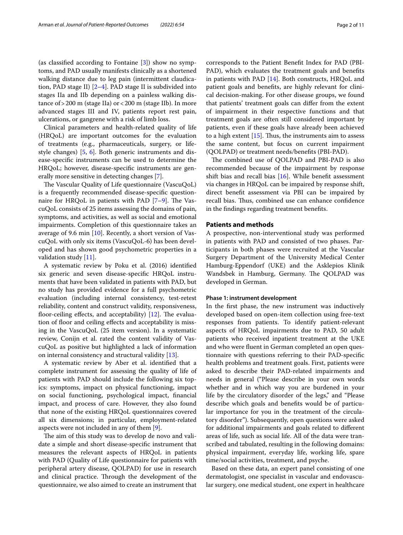(as classifed according to Fontaine [[3\]](#page-10-2)) show no symptoms, and PAD usually manifests clinically as a shortened walking distance due to leg pain (intermittent claudication, PAD stage II)  $[2-4]$  $[2-4]$  $[2-4]$ . PAD stage II is subdivided into stages IIa and IIb depending on a painless walking distance of>200 m (stage IIa) or<200 m (stage IIb). In more advanced stages III and IV, patients report rest pain, ulcerations, or gangrene with a risk of limb loss.

Clinical parameters and health-related quality of life (HRQoL) are important outcomes for the evaluation of treatments (e.g., pharmaceuticals, surgery, or lifestyle changes) [[5](#page-10-4), [6](#page-10-5)]. Both generic instruments and disease-specifc instruments can be used to determine the HRQoL; however, disease-specifc instruments are generally more sensitive in detecting changes [[7](#page-10-6)].

The Vascular Quality of Life questionnaire (VascuQoL) is a frequently recommended disease-specifc questionnaire for HRQoL in patients with PAD  $[7-9]$  $[7-9]$ . The VascuQoL consists of 25 items assessing the domains of pain, symptoms, and activities, as well as social and emotional impairments. Completion of this questionnaire takes an average of 9.6 min [[10\]](#page-10-8). Recently, a short version of VascuQoL with only six items (VascuQoL-6) has been developed and has shown good psychometric properties in a validation study [\[11\]](#page-10-9).

A systematic review by Poku et al. (2016) identifed six generic and seven disease-specifc HRQoL instruments that have been validated in patients with PAD, but no study has provided evidence for a full psychometric evaluation (including internal consistency, test-retest reliability, content and construct validity, responsiveness, floor-ceiling effects, and acceptability)  $[12]$  $[12]$ . The evaluation of floor and ceiling effects and acceptability is missing in the VascuQoL (25 item version). In a systematic review, Conijn et al. rated the content validity of VascuQoL as positive but highlighted a lack of information on internal consistency and structural validity [[13\]](#page-10-11).

A systematic review by Aber et al. identifed that a complete instrument for assessing the quality of life of patients with PAD should include the following six topics: symptoms, impact on physical functioning, impact on social functioning, psychological impact, fnancial impact, and process of care. However, they also found that none of the existing HRQoL questionnaires covered all six dimensions; in particular, employment-related aspects were not included in any of them [[9\]](#page-10-7).

The aim of this study was to develop de novo and validate a simple and short disease-specifc instrument that measures the relevant aspects of HRQoL in patients with PAD (Quality of Life questionnaire for patients with peripheral artery disease, QOLPAD) for use in research and clinical practice. Through the development of the questionnaire, we also aimed to create an instrument that corresponds to the Patient Beneft Index for PAD (PBI-PAD), which evaluates the treatment goals and benefts in patients with PAD [\[14](#page-10-12)]. Both constructs, HRQoL and patient goals and benefts, are highly relevant for clinical decision-making. For other disease groups, we found that patients' treatment goals can difer from the extent of impairment in their respective functions and that treatment goals are often still considered important by patients, even if these goals have already been achieved to a high extent  $[15]$  $[15]$  $[15]$ . Thus, the instruments aim to assess the same content, but focus on current impairment (QOLPAD) or treatment needs/benefts (PBI-PAD).

The combined use of QOLPAD and PBI-PAD is also recommended because of the impairment by response shift bias and recall bias [[16\]](#page-10-14). While beneft assessment via changes in HRQoL can be impaired by response shift, direct beneft assessment via PBI can be impaired by recall bias. Thus, combined use can enhance confidence in the fndings regarding treatment benefts.

#### **Patients and methods**

A prospective, non-interventional study was performed in patients with PAD and consisted of two phases. Participants in both phases were recruited at the Vascular Surgery Department of the University Medical Center Hamburg-Eppendorf (UKE) and the Asklepios Klinik Wandsbek in Hamburg, Germany. The QOLPAD was developed in German.

#### **Phase 1: instrument development**

In the frst phase, the new instrument was inductively developed based on open-item collection using free-text responses from patients. To identify patient-relevant aspects of HRQoL impairments due to PAD, 50 adult patients who received inpatient treatment at the UKE and who were fuent in German completed an open questionnaire with questions referring to their PAD-specifc health problems and treatment goals. First, patients were asked to describe their PAD-related impairments and needs in general ("Please describe in your own words whether and in which way you are burdened in your life by the circulatory disorder of the legs," and "Please describe which goals and benefts would be of particular importance for you in the treatment of the circulatory disorder"). Subsequently, open questions were asked for additional impairments and goals related to diferent areas of life, such as social life. All of the data were transcribed and tabulated, resulting in the following domains: physical impairment, everyday life, working life, spare time/social activities, treatment, and psyche.

Based on these data, an expert panel consisting of one dermatologist, one specialist in vascular and endovascular surgery, one medical student, one expert in healthcare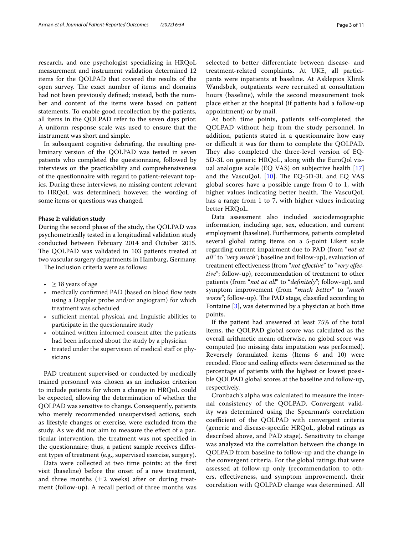research, and one psychologist specializing in HRQoL measurement and instrument validation determined 12 items for the QOLPAD that covered the results of the open survey. The exact number of items and domains had not been previously defned; instead, both the number and content of the items were based on patient statements. To enable good recollection by the patients, all items in the QOLPAD refer to the seven days prior. A uniform response scale was used to ensure that the instrument was short and simple.

In subsequent cognitive debriefng, the resulting preliminary version of the QOLPAD was tested in seven patients who completed the questionnaire, followed by interviews on the practicability and comprehensiveness of the questionnaire with regard to patient-relevant topics. During these interviews, no missing content relevant to HRQoL was determined; however, the wording of some items or questions was changed.

#### **Phase 2: validation study**

During the second phase of the study, the QOLPAD was psychometrically tested in a longitudinal validation study conducted between February 2014 and October 2015. The QOLPAD was validated in 103 patients treated at two vascular surgery departments in Hamburg, Germany.

The inclusion criteria were as follows:

- $\geq$  18 years of age
- medically confirmed PAD (based on blood flow tests using a Doppler probe and/or angiogram) for which treatment was scheduled
- sufficient mental, physical, and linguistic abilities to participate in the questionnaire study
- obtained written informed consent after the patients had been informed about the study by a physician
- treated under the supervision of medical staf or physicians

PAD treatment supervised or conducted by medically trained personnel was chosen as an inclusion criterion to include patients for whom a change in HRQoL could be expected, allowing the determination of whether the QOLPAD was sensitive to change. Consequently, patients who merely recommended unsupervised actions, such as lifestyle changes or exercise, were excluded from the study. As we did not aim to measure the efect of a particular intervention, the treatment was not specifed in the questionnaire; thus, a patient sample receives diferent types of treatment (e.g., supervised exercise, surgery).

Data were collected at two time points: at the frst visit (baseline) before the onset of a new treatment, and three months  $(\pm 2$  weeks) after or during treatment (follow-up). A recall period of three months was selected to better diferentiate between disease- and treatment-related complaints. At UKE, all participants were inpatients at baseline. At Asklepios Klinik Wandsbek, outpatients were recruited at consultation hours (baseline), while the second measurement took place either at the hospital (if patients had a follow-up appointment) or by mail.

At both time points, patients self-completed the QOLPAD without help from the study personnel. In addition, patients stated in a questionnaire how easy or difficult it was for them to complete the QOLPAD. They also completed the three-level version of EQ-5D-3L on generic HRQoL, along with the EuroQol visual analogue scale (EQ VAS) on subjective health [\[17](#page-10-15)] and the VascuQoL  $[10]$  $[10]$  $[10]$ . The EQ-5D-3L and EQ VAS global scores have a possible range from 0 to 1, with higher values indicating better health. The VascuQoL has a range from 1 to 7, with higher values indicating better HRQoL.

Data assessment also included sociodemographic information, including age, sex, education, and current employment (baseline). Furthermore, patients completed several global rating items on a 5-point Likert scale regarding current impairment due to PAD (from "*not at all*" to "*very much*"; baseline and follow-up), evaluation of treatment efectiveness (from "*not efective*" to "*very efective*"; follow-up), recommendation of treatment to other patients (from "*not at all*" to "*defnitely*"; follow-up), and symptom improvement (from "*much better*" to "*much worse"*; follow-up). The PAD stage, classified according to Fontaine [\[3](#page-10-2)], was determined by a physician at both time points.

If the patient had answered at least 75% of the total items, the QOLPAD global score was calculated as the overall arithmetic mean; otherwise, no global score was computed (no missing data imputation was performed). Reversely formulated items (Items 6 and 10) were recoded. Floor and ceiling efects were determined as the percentage of patients with the highest or lowest possible QOLPAD global scores at the baseline and follow-up, respectively.

Cronbach's alpha was calculated to measure the internal consistency of the QOLPAD. Convergent validity was determined using the Spearman's correlation coefficient of the QOLPAD with convergent criteria (generic and disease-specifc HRQoL, global ratings as described above, and PAD stage). Sensitivity to change was analyzed via the correlation between the change in QOLPAD from baseline to follow-up and the change in the convergent criteria. For the global ratings that were assessed at follow-up only (recommendation to others, efectiveness, and symptom improvement), their correlation with QOLPAD change was determined. All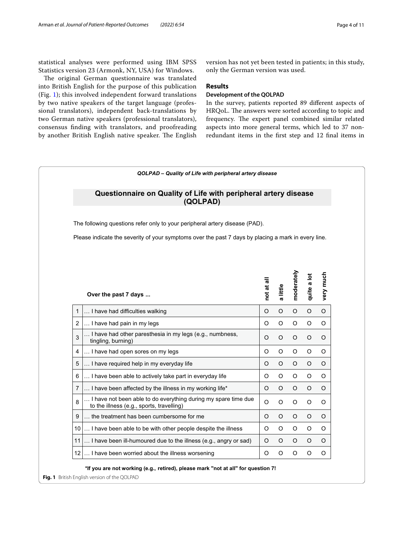statistical analyses were performed using IBM SPSS Statistics version 23 (Armonk, NY, USA) for Windows.

The original German questionnaire was translated into British English for the purpose of this publication (Fig. [1](#page-3-0)); this involved independent forward translations by two native speakers of the target language (professional translators), independent back-translations by two German native speakers (professional translators), consensus fnding with translators, and proofreading by another British English native speaker. The English version has not yet been tested in patients; in this study, only the German version was used.

## **Results**

## **Development of the QOLPAD**

In the survey, patients reported 89 diferent aspects of HRQoL. The answers were sorted according to topic and frequency. The expert panel combined similar related aspects into more general terms, which led to 37 nonredundant items in the frst step and 12 fnal items in



<span id="page-3-0"></span>**Fig. 1** British English version of the QOLPAD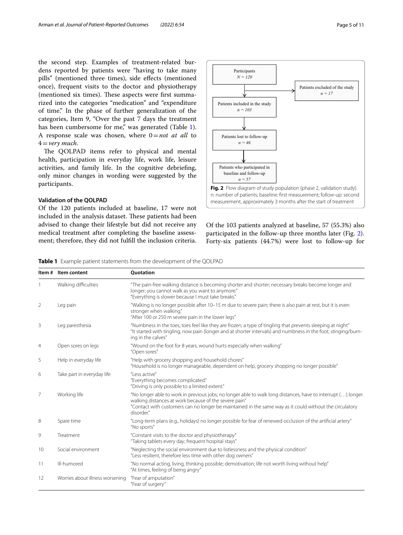the second step. Examples of treatment-related burdens reported by patients were "having to take many pills" (mentioned three times), side effects (mentioned once), frequent visits to the doctor and physiotherapy (mentioned six times). These aspects were first summarized into the categories "medication" and "expenditure of time." In the phase of further generalization of the categories, Item 9, "Over the past 7 days the treatment has been cumbersome for me," was generated (Table [1](#page-4-0)). A response scale was chosen, where 0=*not at all* to 4=*very much*.

The QOLPAD items refer to physical and mental health, participation in everyday life, work life, leisure activities, and family life. In the cognitive debriefng, only minor changes in wording were suggested by the participants.

## **Validation of the QOLPAD**

Of the 120 patients included at baseline, 17 were not included in the analysis dataset. These patients had been advised to change their lifestyle but did not receive any medical treatment after completing the baseline assessment; therefore, they did not fulfll the inclusion criteria.



<span id="page-4-1"></span>Of the 103 patients analyzed at baseline, 57 (55.3%) also participated in the follow-up three months later (Fig. [2](#page-4-1)). Forty-six patients (44.7%) were lost to follow-up for

<span id="page-4-0"></span>**Table 1** Example patient statements from the development of the QOLPAD

|                | Item # Item content             | Quotation                                                                                                                                                                                                                                                                                      |
|----------------|---------------------------------|------------------------------------------------------------------------------------------------------------------------------------------------------------------------------------------------------------------------------------------------------------------------------------------------|
|                | Walking difficulties            | "The pain-free walking distance is becoming shorter and shorter; necessary breaks become longer and<br>longer; you cannot walk as you want to anymore."<br>"Everything is slower because I must take breaks."                                                                                  |
| 2              | Leg pain                        | "Walking is no longer possible after 10–15 m due to severe pain; there is also pain at rest, but it is even<br>stronger when walking."<br>"After 100 or 250 m severe pain in the lower legs"                                                                                                   |
| 3              | Leg paresthesia                 | "Numbness in the toes; toes feel like they are frozen; a type of tingling that prevents sleeping at night"<br>"It started with tingling, now pain (longer and at shorter intervals) and numbness in the foot; stinging/burn-<br>ing in the calves"                                             |
| $\overline{4}$ | Open sores on legs              | "Wound on the foot for 8 years, wound hurts especially when walking"<br>"Open sores"                                                                                                                                                                                                           |
| 5              | Help in everyday life           | "Help with grocery shopping and household chores"<br>"Household is no longer manageable, dependent on help, grocery shopping no longer possible"                                                                                                                                               |
| 6              | Take part in everyday life      | "I ess active"<br>"Everything becomes complicated."<br>"Driving is only possible to a limited extent."                                                                                                                                                                                         |
| 7              | Working life                    | "No longer able to work in previous jobs; no longer able to walk long distances, have to interrupt () longer<br>walking distances at work because of the severe pain"<br>"Contact with customers can no longer be maintained in the same way as it could without the circulatory<br>disorder." |
| 8              | Spare time                      | "Long-term plans (e.g., holidays) no longer possible for fear of renewed occlusion of the artificial artery"<br>"No sports"                                                                                                                                                                    |
| 9              | Treatment                       | "Constant visits to the doctor and physiotherapy"<br>"Taking tablets every day; frequent hospital stays"                                                                                                                                                                                       |
| 10             | Social environment              | "Neglecting the social environment due to listlessness and the physical condition"<br>"Less resilient, therefore less time with other dog owners"                                                                                                                                              |
| 11             | Ill-humored                     | "No normal acting, living, thinking possible; demotivation; life not worth living without help"<br>"At times, feeling of being angry"                                                                                                                                                          |
| 12             | Worries about illness worsening | "Fear of amputation"<br>"Fear of surgery"                                                                                                                                                                                                                                                      |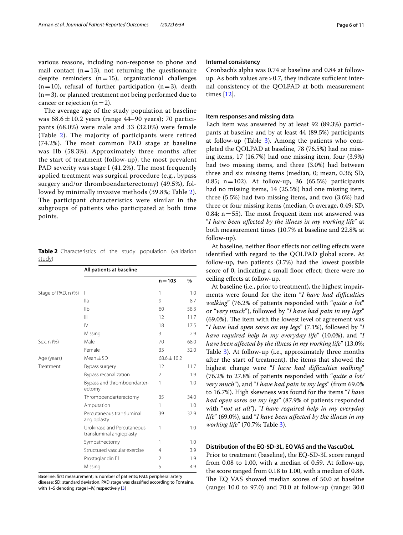various reasons, including non-response to phone and mail contact  $(n=13)$ , not returning the questionnaire despite reminders  $(n=15)$ , organizational challenges  $(n=10)$ , refusal of further participation  $(n=3)$ , death  $(n=3)$ , or planned treatment not being performed due to cancer or rejection  $(n=2)$ .

The average age of the study population at baseline was  $68.6 \pm 10.2$  years (range 44–90 years); 70 participants (68.0%) were male and 33 (32.0%) were female (Table [2](#page-5-0)). The majority of participants were retired (74.2%). The most common PAD stage at baseline was IIb (58.3%). Approximately three months after the start of treatment (follow-up), the most prevalent PAD severity was stage I (41.2%). The most frequently applied treatment was surgical procedure (e.g., bypass surgery and/or thromboendarterectomy) (49.5%), followed by minimally invasive methods (39.8%; Table [2\)](#page-5-0). The participant characteristics were similar in the subgroups of patients who participated at both time points.

<span id="page-5-0"></span>**Table 2** Characteristics of the study population (validation study)

|                                                                                                                                                                                                                                                                                             | All patients at baseline    |                 |      |
|---------------------------------------------------------------------------------------------------------------------------------------------------------------------------------------------------------------------------------------------------------------------------------------------|-----------------------------|-----------------|------|
|                                                                                                                                                                                                                                                                                             |                             | $n = 103$       | $\%$ |
| Stage of PAD, n (%)                                                                                                                                                                                                                                                                         | I                           | 1               | 1.0  |
|                                                                                                                                                                                                                                                                                             | lla                         | 9               | 8.7  |
|                                                                                                                                                                                                                                                                                             | I <sub>1</sub>              | 60              | 58.3 |
|                                                                                                                                                                                                                                                                                             | $\mathbf{III}$              | 12              | 11.7 |
|                                                                                                                                                                                                                                                                                             | $\mathsf{N}$                | 18              | 17.5 |
|                                                                                                                                                                                                                                                                                             | Missing                     | 3               | 2.9  |
| Sex, n (%)                                                                                                                                                                                                                                                                                  | Male                        | 70              | 68.0 |
|                                                                                                                                                                                                                                                                                             | Female                      | 33              | 32.0 |
| Age (years)                                                                                                                                                                                                                                                                                 | $Mean \pm SD$               | $68.6 \pm 10.2$ |      |
| Treatment<br>Bypass surgery<br>Bypass recanalization<br>ectomy<br>Thromboendarterectomy<br>Amputation<br>Percutaneous transluminal<br>angioplasty<br>Urokinase and Percutaneous<br>transluminal angioplasty<br>Sympathectomy<br>Structured vascular exercise<br>Prostaglandin E1<br>Missing | 12                          | 11.7            |      |
|                                                                                                                                                                                                                                                                                             |                             | 2               | 1.9  |
|                                                                                                                                                                                                                                                                                             | Bypass and thromboendarter- | 1               | 1.0  |
|                                                                                                                                                                                                                                                                                             |                             | 35              | 34.0 |
|                                                                                                                                                                                                                                                                                             |                             | 1               | 1.0  |
|                                                                                                                                                                                                                                                                                             |                             | 39              | 37.9 |
|                                                                                                                                                                                                                                                                                             |                             | 1               | 1.0  |
|                                                                                                                                                                                                                                                                                             |                             | 1               | 1.0  |
|                                                                                                                                                                                                                                                                                             |                             | $\overline{4}$  | 3.9  |
|                                                                                                                                                                                                                                                                                             |                             | 2               | 1.9  |
|                                                                                                                                                                                                                                                                                             |                             | 5               | 4.9  |

Baseline: frst measurement; n: number of patients; PAD: peripheral artery

disease; SD: standard deviation. PAD stage was classifed according to Fontaine, with 1–5 denoting stage I–IV, respectively [[3](#page-10-2)]

#### **Internal consistency**

Cronbach's alpha was 0.74 at baseline and 0.84 at followup. As both values are  $> 0.7$ , they indicate sufficient internal consistency of the QOLPAD at both measurement times [[12](#page-10-10)].

#### **Item responses and missing data**

Each item was answered by at least 92 (89.3%) participants at baseline and by at least 44 (89.5%) participants at follow-up (Table [3\)](#page-6-0). Among the patients who completed the QOLPAD at baseline, 78 (76.5%) had no missing items, 17 (16.7%) had one missing item, four (3.9%) had two missing items, and three (3.0%) had between three and six missing items (median, 0; mean, 0.36; SD, 0.85; n=102). At follow-up, 36  $(65.5%)$  participants had no missing items, 14 (25.5%) had one missing item, three (5.5%) had two missing items, and two (3.6%) had three or four missing items (median, 0; average, 0.49; SD, 0.84;  $n = 55$ ). The most frequent item not answered was "*I have been afected by the illness in my working life*" at both measurement times (10.7% at baseline and 22.8% at follow-up).

At baseline, neither floor effects nor ceiling effects were identifed with regard to the QOLPAD global score. At follow-up, two patients (3.7%) had the lowest possible score of 0, indicating a small floor effect; there were no ceiling efects at follow-up.

At baseline (i.e., prior to treatment), the highest impairments were found for the item "*I have had difculties walking*" (76.2% of patients responded with "*quite a lot*" or "*very much*"), followed by "*I have had pain in my legs*"  $(69.0\%)$ . The item with the lowest level of agreement was "*I have had open sores on my legs*" (7.1%), followed by "*I have required help in my everyday life*" (10.0%), and "*I have been afected by the illness in my working life*" (13.0%; Table [3](#page-6-0)). At follow-up (i.e., approximately three months after the start of treatment), the items that showed the highest change were "*I have had difculties walking*" (76.2% to 27.8% of patients responded with "*quite a lot/ very much*"), and "*I have had pain in my legs*" (from 69.0% to 16.7%). High skewness was found for the items "*I have had open sores on my legs*" (87.9% of patients responded with "*not at all"*), "*I have required help in my everyday life*" (69.0%), and "*I have been afected by the illness in my working life*" (70.7%; Table [3](#page-6-0)).

## **Distribution of the EQ‑5D‑3L, EQ VAS and the VascuQoL**

Prior to treatment (baseline), the EQ-5D-3L score ranged from 0.08 to 1.00, with a median of 0.59. At follow-up, the score ranged from 0.18 to 1.00, with a median of 0.88. The EQ VAS showed median scores of 50.0 at baseline (range: 10.0 to 97.0) and 70.0 at follow-up (range: 30.0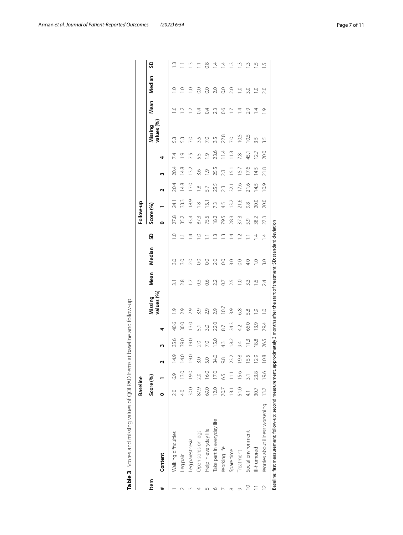|             |                                                                                                                                         | <b>Baseline</b> |       |      |               |      |                |                 |                  |                | Follow-up |               |                        |                |                |            |                  |                |                    |
|-------------|-----------------------------------------------------------------------------------------------------------------------------------------|-----------------|-------|------|---------------|------|----------------|-----------------|------------------|----------------|-----------|---------------|------------------------|----------------|----------------|------------|------------------|----------------|--------------------|
| ltem        |                                                                                                                                         | Score (%)       |       |      |               |      | Missing        | Mean            | Median           | SD             | Score (%) |               |                        |                |                | Missing    | Mean             | Median         | ဌ                  |
| #           | Content                                                                                                                                 |                 |       | ς    | m             | 4    | values (%)     |                 |                  |                |           |               | ς                      | m              | 4              | values (%) |                  |                |                    |
|             | Walking difficulties                                                                                                                    | 2.0             | 6.9   | 14.9 | 35.6          | 40.6 | $\frac{0}{1}$  | $\overline{31}$ | $\frac{30}{30}$  | $\overline{0}$ | 27.8      | 24.1          | 20.4                   | 20.4           | 7.4            | 53         | ب                | Q              | Š.                 |
|             | Leg pain                                                                                                                                |                 | 13.0  | 14.0 | 39.0          | 30.0 | 2.9            | 2.8             | 3.0              |                | 35.2      | 33.3          | 14.8                   | 14.8           | $\frac{1}{2}$  |            | $\overline{1}$ . | $\circ$        |                    |
|             | Leg paresthesia                                                                                                                         | 30.0            | 19.0  | 19.0 | 19.0          | 13.0 | 2.9            |                 | 2.0              | 4.             | 43.4      | $\frac{8}{9}$ | 17.0                   | 13.2           | 7.5            | Š          | $\tilde{=}$      |                | Š.                 |
|             | Open sores on legs                                                                                                                      | 87.9            |       |      | 2.0           |      | 3.9            | $\frac{3}{2}$   | S                |                | 873       | œ             | $\frac{\infty}{\cdot}$ | 3.6            | 53             |            | $\overline{0}$   |                | $\equiv$           |
|             | Help in everyday life                                                                                                                   | 69.0            | 16.0  |      |               |      | 2.9            | $\frac{6}{2}$   | $\overline{0}$   | Ξ              | 75.5      | $\frac{1}{2}$ | 5.7                    | $\overline{C}$ | $\overline{O}$ | P.O        | $\overline{0}$   | S              | 0.8                |
| ७           | Take part in every day life                                                                                                             | 12.0            | 17.0  | 34.0 | 15.0          | 22.0 | 2.9            | 2.2             | 20               | $\frac{1}{2}$  | 182       | 7.3           | 25.5                   | 25.5           | 23.6           |            | 2.3              |                | $\overline{4}$     |
|             | Working life                                                                                                                            | 70.7            | 59    | 9.8  | 4.3           | 87   | 10.7           | C.O             | O.G              | $\frac{1}{2}$  | 79.5      | 4.5           | 23                     | 23             | 11.4           | 22.8       | $\frac{6}{2}$    | $\overline{0}$ | 4                  |
| $\infty$    | Spare time                                                                                                                              | 13.1            | $\Xi$ | 23.2 | $\approx$     | 34.3 | 3.9            | 2.5             | $\overline{3.0}$ | 4              | 28.3      | 13.2          | 32.1                   | .<br>≌         | $\frac{3}{11}$ | 2.0        | $\overline{1}$   | 2.0            | m.                 |
| Ō           | Treatment                                                                                                                               | 51.0            | 15.6  | 19.8 | 94            | 42   | 6.8            | $\supseteq$     | $\overline{0}$   |                | 373       | 21.6          | 17.6                   | 15.7           | 7.8            | 10.5       | Ā                | $\supseteq$    | Ċ.                 |
| $\supseteq$ | Social environment                                                                                                                      | $\frac{1}{4}$   |       | 15.5 | $\frac{3}{2}$ | 66.0 | 58             | 3.3             | $\frac{1}{4}$    | E              | 5.9       | 9.8           | 21.6                   | 17.6           | 45.1           | 10.5       | 2.9              | 3.0            | w.                 |
|             | III-humored                                                                                                                             | 30.7            | 23.8  | 12.9 | 18.8          | 13.9 | $\frac{0}{1}$  | $\frac{6}{1}$   | $\supseteq$      | 4              | 38.2      | 20.0          | 14.5                   | 145            | 12.7           |            | 4                | $\supseteq$    | LŊ.                |
| $\approx$   | Worries about illness worsening                                                                                                         | 13.7            | 19.6  | 10.8 | 26.5          | 29.4 | $\overline{C}$ | 24              | 3.0              | $\overline{4}$ | 27.3      | 20.0          | 10.9                   | 21.8           | 20.0           | 3.5        | $\overline{O}$   | 2.0            | $\overline{\cdot}$ |
|             | Baseline: first measurement; follow-up: second measurement, approximately 3 months after the start of treatment; SD: standard deviation |                 |       |      |               |      |                |                 |                  |                |           |               |                        |                |                |            |                  |                |                    |

<span id="page-6-0"></span>

| in an an 1                       |  |
|----------------------------------|--|
|                                  |  |
|                                  |  |
|                                  |  |
| j                                |  |
|                                  |  |
|                                  |  |
|                                  |  |
| )<br>)<br>)<br>)                 |  |
|                                  |  |
|                                  |  |
|                                  |  |
|                                  |  |
| ֚֓                               |  |
|                                  |  |
|                                  |  |
| ;                                |  |
|                                  |  |
|                                  |  |
|                                  |  |
|                                  |  |
|                                  |  |
|                                  |  |
|                                  |  |
|                                  |  |
|                                  |  |
|                                  |  |
| $\frac{1}{2}$                    |  |
|                                  |  |
|                                  |  |
|                                  |  |
|                                  |  |
|                                  |  |
| こうこうりっこう<br>$\ddot{\phantom{a}}$ |  |
|                                  |  |
|                                  |  |
| )<br>5<br>-                      |  |
|                                  |  |
|                                  |  |
| <b>Contract Contract</b>         |  |
|                                  |  |
|                                  |  |
|                                  |  |
|                                  |  |
|                                  |  |
| s<br>a                           |  |
|                                  |  |
|                                  |  |
| ;                                |  |
|                                  |  |
| i                                |  |
|                                  |  |
| l<br>t                           |  |
|                                  |  |
|                                  |  |
|                                  |  |
| )<br>1                           |  |
|                                  |  |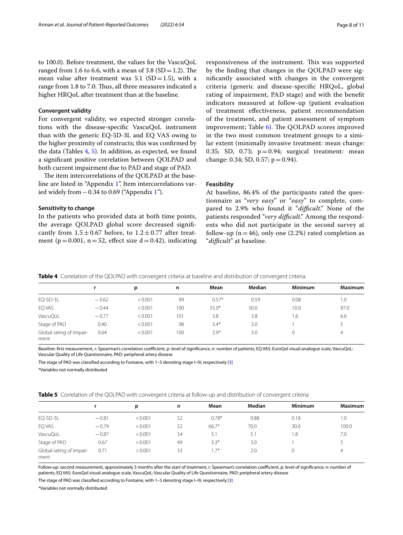to 100.0). Before treatment, the values for the VascuQoL ranged from 1.6 to 6.6, with a mean of 3.8 (SD = 1.2). The mean value after treatment was  $5.1$  (SD=1.5), with a range from 1.8 to 7.0. Thus, all three measures indicated a higher HRQoL after treatment than at the baseline.

#### **Convergent validity**

For convergent validity, we expected stronger correlations with the disease-specifc VascuQoL instrument than with the generic EQ-5D-3L and EQ VAS owing to the higher proximity of constructs; this was confrmed by the data (Tables [4](#page-7-0), [5](#page-7-1)). In addition, as expected, we found a signifcant positive correlation between QOLPAD and both current impairment due to PAD and stage of PAD.

The item intercorrelations of the QOLPAD at the baseline are listed in "Appendix [1](#page-9-0)". Item intercorrelations varied widely from  $-0.34$  to 0.69 ("Appendix [1"](#page-9-0)).

#### **Sensitivity to change**

In the patients who provided data at both time points, the average QOLPAD global score decreased signifcantly from  $1.5 \pm 0.67$  before, to  $1.2 \pm 0.77$  after treatment ( $p=0.001$ ,  $n=52$ , effect size  $d=0.42$ ), indicating

responsiveness of the instrument. This was supported by the fnding that changes in the QOLPAD were signifcantly associated with changes in the convergent criteria (generic and disease-specifc HRQoL, global rating of impairment, PAD stage) and with the beneft indicators measured at follow-up (patient evaluation of treatment efectiveness, patient recommendation of the treatment, and patient assessment of symptom improvement; Table  $6$ ). The QOLPAD scores improved in the two most common treatment groups to a similar extent (minimally invasive treatment: mean change: 0.35; SD, 0.73;  $p=0.94$ ; surgical treatment: mean change: 0.34; SD, 0.57;  $p = 0.94$ ).

## **Feasibility**

At baseline, 86.4% of the participants rated the questionnaire as "*very easy*" or "*easy*" to complete, compared to 2.9% who found it "difficult." None of the patients responded "*very difficult*." Among the respondents who did not participate in the second survey at follow-up ( $n=46$ ), only one (2.2%) rated completion as "*difcult*" at baseline.

<span id="page-7-0"></span>

|  |  |  | <b>Table 4</b> Correlation of the QOLPAD with convergent criteria at baseline and distribution of convergent criteria |
|--|--|--|-----------------------------------------------------------------------------------------------------------------------|
|  |  |  |                                                                                                                       |

|                                  |         | p       | n   | Mean    | Median | Minimum | <b>Maximum</b> |
|----------------------------------|---------|---------|-----|---------|--------|---------|----------------|
| EQ-5D-3L                         | $-0.62$ | < 0.001 | 99  | $0.57*$ | 0.59   | 0.08    | 1.0            |
| EQ VAS                           | $-0.44$ | < 0.001 | 100 | $55.0*$ | 50.0   | 10.0    | 97.0           |
| VascuQoL                         | $-0.77$ | < 0.001 | 101 | 3.8     | 3.8    | 1.6     | 6.6            |
| Stage of PAD                     | 0.40    | < 0.001 | 98  | $3.4*$  | 3.0    |         |                |
| Global rating of impair-<br>ment | 0.64    | < 0.001 | 100 | $2.9*$  | 3.0    |         | 4              |

Baseline: first measurement, r: Spearman's correlation coefficient, p: level of significance, n: number of patients; EQ VAS: EuroQol visual analogue scale, VascuQoL: Vascular Quality of Life Questionnaire, PAD: peripheral artery disease

The stage of PAD was classifed according to Fontaine, with 1–5 denoting stage I–IV, respectively [[3](#page-10-2)]

\*Variables not normally distributed

<span id="page-7-1"></span>

|  |  |  |  |  |  | Table 5 Correlation of the OOLPAD with convergent criteria at follow-up and distribution of convergent criteria |
|--|--|--|--|--|--|-----------------------------------------------------------------------------------------------------------------|
|--|--|--|--|--|--|-----------------------------------------------------------------------------------------------------------------|

|                                  |         | p       | n  | Mean    | Median | <b>Minimum</b> | Maximum |
|----------------------------------|---------|---------|----|---------|--------|----------------|---------|
| $EQ-5D-3L$                       | $-0.81$ | < 0.001 | 52 | $0.78*$ | 0.88   | 0.18           | 1.0     |
| EQ VAS                           | $-0.79$ | < 0.001 | 52 | $66.7*$ | 70.0   | 30.0           | 100.0   |
| VascuQoL                         | $-0.87$ | < 0.001 | 54 | 5.1     | 5.1    | 8.۱            | 7.0     |
| Stage of PAD                     | 0.67    | < 0.001 | 49 | $3.3*$  | 3.0    |                |         |
| Global rating of impair-<br>ment | 0.71    | < 0.001 | 53 | $1.7*$  | 2.0    |                | 4       |

Follow-up: second measurement, approximately 3 months after the start of treatment, r: Spearman's correlation coefficient, p: level of significance, n: number of patients; EQ VAS: EuroQol visual analogue scale, VascuQoL: Vascular Quality of Life Questionnaire, PAD: peripheral artery disease

The stage of PAD was classifed according to Fontaine, with 1–5 denoting stage I–IV, respectively [[3](#page-10-2)]

\*Variables not normally distributed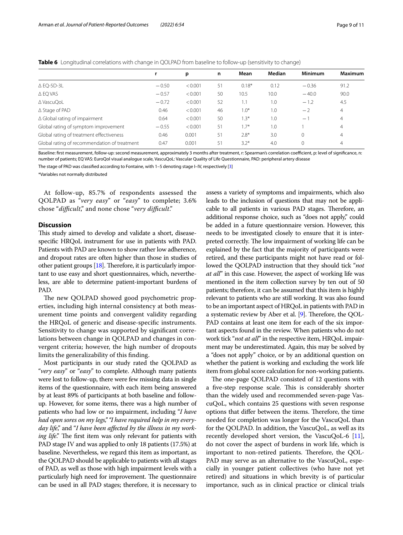<span id="page-8-0"></span>

| Table 6 Longitudinal correlations with change in QOLPAD from baseline to follow-up (sensitivity to change) |  |  |
|------------------------------------------------------------------------------------------------------------|--|--|
|------------------------------------------------------------------------------------------------------------|--|--|

|                                              |         | p       | n  | Mean    | Median | <b>Minimum</b> | <b>Maximum</b> |
|----------------------------------------------|---------|---------|----|---------|--------|----------------|----------------|
| $\triangle$ EQ-5D-3L                         | $-0.50$ | < 0.001 | 51 | $0.18*$ | 0.12   | $-0.36$        | 91.2           |
| $\triangle$ EQ VAS                           | $-0.57$ | < 0.001 | 50 | 10.5    | 10.0   | $-40.0$        | 90.0           |
| ∆ VascuQoL                                   | $-0.72$ | < 0.001 | 52 | 1.1     | 1.0    | $-1.2$         | 4.5            |
| $\triangle$ Stage of PAD                     | 0.46    | < 0.001 | 46 | $1.0*$  | 1.0    | $-2$           | $\overline{4}$ |
| $\Delta$ Global rating of impairment         | 0.64    | < 0.001 | 50 | $1.3*$  | 1.0    | $-1$           | $\overline{4}$ |
| Global rating of symptom improvement         | $-0.55$ | < 0.001 | 51 | $1.7*$  | 1.0    |                | $\overline{4}$ |
| Global rating of treatment effectiveness     | 0.46    | 0.001   | 51 | $2.8*$  | 3.0    | $\Omega$       | $\overline{4}$ |
| Global rating of recommendation of treatment | 0.47    | 0.001   | 51 | $3.2*$  | 4.0    | $\Omega$       | 4              |

Baseline: first measurement, follow-up: second measurement, approximately 3 months after treatment, r: Spearman's correlation coefficient, p: level of significance, n: number of patients; EQ VAS: EuroQol visual analogue scale, VascuQoL: Vascular Quality of Life Questionnaire, PAD: peripheral artery disease

The stage of PAD was classifed according to Fontaine, with 1–5 denoting stage I–IV, respectively [[3](#page-10-2)]

\*Variables not normally distributed

At follow-up, 85.7% of respondents assessed the QOLPAD as "*very easy*" or "*easy*" to complete; 3.6% chose "*difcult*," and none chose "*very difcult*."

## **Discussion**

This study aimed to develop and validate a short, diseasespecifc HRQoL instrument for use in patients with PAD. Patients with PAD are known to show rather low adherence, and dropout rates are often higher than those in studies of other patient groups  $[18]$ . Therefore, it is particularly important to use easy and short questionnaires, which, nevertheless, are able to determine patient-important burdens of PAD.

The new QOLPAD showed good psychometric properties, including high internal consistency at both measurement time points and convergent validity regarding the HRQoL of generic and disease-specifc instruments. Sensitivity to change was supported by signifcant correlations between change in QOLPAD and changes in convergent criteria; however, the high number of dropouts limits the generalizability of this fnding.

Most participants in our study rated the QOLPAD as "*very easy*" or "*easy*" to complete. Although many patients were lost to follow-up, there were few missing data in single items of the questionnaire, with each item being answered by at least 89% of participants at both baseline and followup. However, for some items, there was a high number of patients who had low or no impairment, including "*I have had open sores on my legs," "I have required help in my everyday life*," and "*I have been afected by the illness in my working life*." The first item was only relevant for patients with PAD stage IV and was applied to only 18 patients (17.5%) at baseline. Nevertheless, we regard this item as important, as the QOLPAD should be applicable to patients with all stages of PAD, as well as those with high impairment levels with a particularly high need for improvement. The questionnaire can be used in all PAD stages; therefore, it is necessary to assess a variety of symptoms and impairments, which also leads to the inclusion of questions that may not be applicable to all patients in various PAD stages. Therefore, an additional response choice, such as "does not apply," could be added in a future questionnaire version. However, this needs to be investigated closely to ensure that it is interpreted correctly. The low impairment of working life can be explained by the fact that the majority of participants were retired, and these participants might not have read or followed the QOLPAD instruction that they should tick "*not at all*" in this case. However, the aspect of working life was mentioned in the item collection survey by ten out of 50 patients; therefore, it can be assumed that this item is highly relevant to patients who are still working. It was also found to be an important aspect of HRQoL in patients with PAD in a systematic review by Aber et al. [[9](#page-10-7)]. Therefore, the QOL-PAD contains at least one item for each of the six important aspects found in the review. When patients who do not work tick "*not at all*" in the respective item, HRQoL impairment may be underestimated. Again, this may be solved by a "does not apply" choice, or by an additional question on whether the patient is working and excluding the work life item from global score calculation for non-working patients.

The one-page QOLPAD consisted of 12 questions with a five-step response scale. This is considerably shorter than the widely used and recommended seven-page VascuQoL, which contains 25 questions with seven response options that differ between the items. Therefore, the time needed for completion was longer for the VascuQoL than for the QOLPAD. In addition, the VascuQoL, as well as its recently developed short version, the VascuQoL-6  $[11]$  $[11]$  $[11]$ , do not cover the aspect of burdens in work life, which is important to non-retired patients. Therefore, the QOL-PAD may serve as an alternative to the VascuQoL, especially in younger patient collectives (who have not yet retired) and situations in which brevity is of particular importance, such as in clinical practice or clinical trials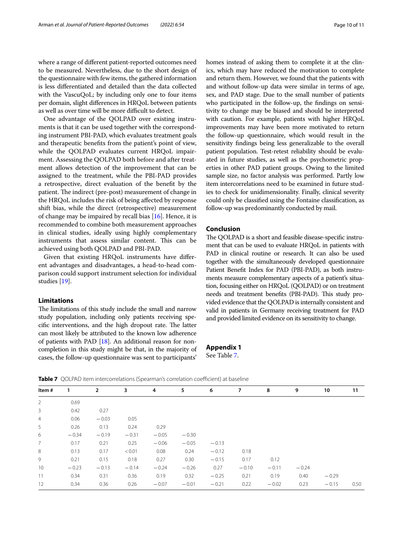where a range of diferent patient-reported outcomes need to be measured. Nevertheless, due to the short design of the questionnaire with few items, the gathered information is less diferentiated and detailed than the data collected with the VascuQoL; by including only one to four items per domain, slight diferences in HRQoL between patients as well as over time will be more difficult to detect.

One advantage of the QOLPAD over existing instruments is that it can be used together with the corresponding instrument PBI-PAD, which evaluates treatment goals and therapeutic benefts from the patient's point of view, while the QOLPAD evaluates current HRQoL impairment. Assessing the QOLPAD both before and after treatment allows detection of the improvement that can be assigned to the treatment, while the PBI-PAD provides a retrospective, direct evaluation of the beneft by the patient. The indirect (pre-post) measurement of change in the HRQoL includes the risk of being afected by response shift bias, while the direct (retrospective) measurement of change may be impaired by recall bias [\[16](#page-10-14)]. Hence, it is recommended to combine both measurement approaches in clinical studies, ideally using highly complementary instruments that assess similar content. This can be achieved using both QOLPAD and PBI-PAD.

Given that existing HRQoL instruments have diferent advantages and disadvantages, a head-to-head comparison could support instrument selection for individual studies [[19\]](#page-10-17).

## **Limitations**

The limitations of this study include the small and narrow study population, including only patients receiving specific interventions, and the high dropout rate. The latter can most likely be attributed to the known low adherence of patients with PAD [\[18\]](#page-10-16). An additional reason for noncompletion in this study might be that, in the majority of cases, the follow-up questionnaire was sent to participants' homes instead of asking them to complete it at the clinics, which may have reduced the motivation to complete and return them. However, we found that the patients with and without follow-up data were similar in terms of age, sex, and PAD stage. Due to the small number of patients who participated in the follow-up, the fndings on sensitivity to change may be biased and should be interpreted with caution. For example, patients with higher HRQoL improvements may have been more motivated to return the follow-up questionnaire, which would result in the sensitivity fndings being less generalizable to the overall patient population. Test-retest reliability should be evaluated in future studies, as well as the psychometric properties in other PAD patient groups. Owing to the limited sample size, no factor analysis was performed. Partly low item intercorrelations need to be examined in future studies to check for unidimensionality. Finally, clinical severity could only be classifed using the Fontaine classifcation, as follow-up was predominantly conducted by mail.

#### **Conclusion**

The QOLPAD is a short and feasible disease-specific instrument that can be used to evaluate HRQoL in patients with PAD in clinical routine or research. It can also be used together with the simultaneously developed questionnaire Patient Beneft Index for PAD (PBI-PAD), as both instruments measure complementary aspects of a patient's situation, focusing either on HRQoL (QOLPAD) or on treatment needs and treatment benefits (PBI-PAD). This study provided evidence that the QOLPAD is internally consistent and valid in patients in Germany receiving treatment for PAD and provided limited evidence on its sensitivity to change.

## <span id="page-9-0"></span>**Appendix 1** See Table [7.](#page-9-1)

<span id="page-9-1"></span>**Table 7** OOLPAD item intercorrelations (Spearman's correlation coefficient) at baseline

| Item#           | 1       | $\overline{2}$ | 3       | 4       | 5       | 6       | 7       | 8       | 9       | 10      | 11   |
|-----------------|---------|----------------|---------|---------|---------|---------|---------|---------|---------|---------|------|
| 2               | 0.69    |                |         |         |         |         |         |         |         |         |      |
| 3               | 0.42    | 0.27           |         |         |         |         |         |         |         |         |      |
| $\overline{4}$  | 0.06    | $-0.03$        | 0.05    |         |         |         |         |         |         |         |      |
| 5               | 0.26    | 0.13           | 0.24    | 0.29    |         |         |         |         |         |         |      |
| 6               | $-0.34$ | $-0.19$        | $-0.31$ | $-0.05$ | $-0.30$ |         |         |         |         |         |      |
| $7\overline{ }$ | 0.17    | 0.21           | 0.25    | $-0.06$ | $-0.05$ | $-0.13$ |         |         |         |         |      |
| 8               | 0.13    | 0.17           | < 0.01  | 0.08    | 0.24    | $-0.12$ | 0.18    |         |         |         |      |
| 9               | 0.21    | 0.15           | 0.18    | 0.27    | 0.30    | $-0.15$ | 0.17    | 0.12    |         |         |      |
| 10              | $-0.23$ | $-0.13$        | $-0.14$ | $-0.24$ | $-0.26$ | 0.27    | $-0.10$ | $-0.11$ | $-0.24$ |         |      |
| 11              | 0.34    | 0.31           | 0.36    | 0.19    | 0.32    | $-0.25$ | 0.21    | 0.19    | 0.40    | $-0.29$ |      |
| 12              | 0.34    | 0.36           | 0.26    | $-0.07$ | $-0.01$ | $-0.21$ | 0.22    | $-0.02$ | 0.23    | $-0.15$ | 0.50 |
|                 |         |                |         |         |         |         |         |         |         |         |      |